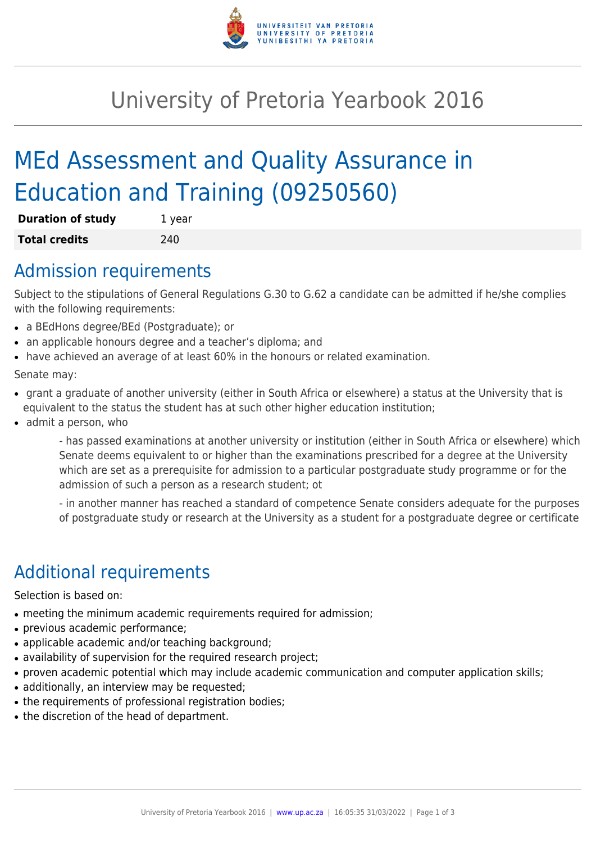

# University of Pretoria Yearbook 2016

# MEd Assessment and Quality Assurance in Education and Training (09250560)

| <b>Duration of study</b> | 1 year |
|--------------------------|--------|
| <b>Total credits</b>     | 240    |

### Admission requirements

Subject to the stipulations of General Regulations G.30 to G.62 a candidate can be admitted if he/she complies with the following requirements:

- a BEdHons degree/BEd (Postgraduate); or
- an applicable honours degree and a teacher's diploma; and
- have achieved an average of at least 60% in the honours or related examination.

Senate may:

- grant a graduate of another university (either in South Africa or elsewhere) a status at the University that is equivalent to the status the student has at such other higher education institution;
- admit a person, who

- has passed examinations at another university or institution (either in South Africa or elsewhere) which Senate deems equivalent to or higher than the examinations prescribed for a degree at the University which are set as a prerequisite for admission to a particular postgraduate study programme or for the admission of such a person as a research student; ot

- in another manner has reached a standard of competence Senate considers adequate for the purposes of postgraduate study or research at the University as a student for a postgraduate degree or certificate

## Additional requirements

Selection is based on:

- meeting the minimum academic requirements required for admission;
- previous academic performance;
- applicable academic and/or teaching background;
- availability of supervision for the required research project;
- proven academic potential which may include academic communication and computer application skills;
- additionally, an interview may be requested;
- the requirements of professional registration bodies;
- the discretion of the head of department.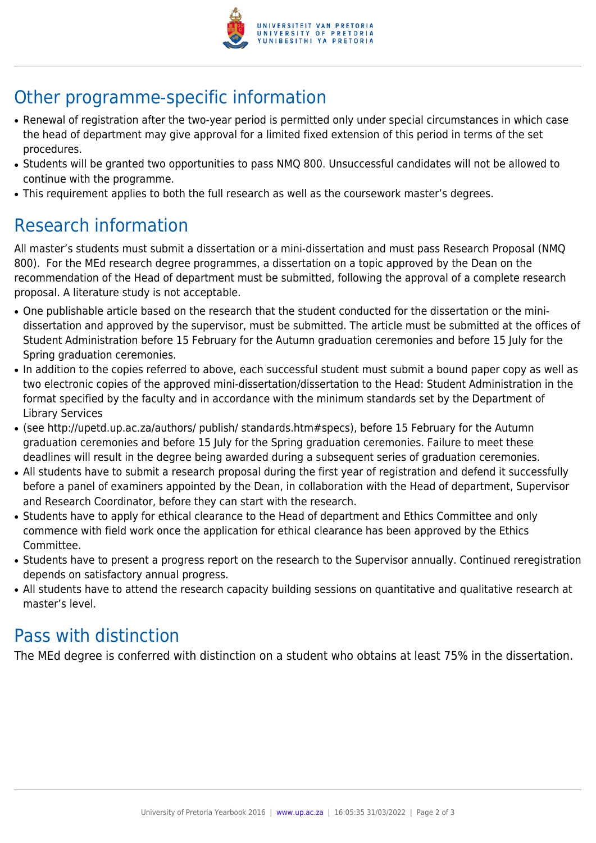

# Other programme-specific information

- Renewal of registration after the two-year period is permitted only under special circumstances in which case the head of department may give approval for a limited fixed extension of this period in terms of the set procedures.
- Students will be granted two opportunities to pass NMQ 800. Unsuccessful candidates will not be allowed to continue with the programme.
- This requirement applies to both the full research as well as the coursework master's degrees.

## Research information

All master's students must submit a dissertation or a mini-dissertation and must pass Research Proposal (NMQ 800). For the MEd research degree programmes, a dissertation on a topic approved by the Dean on the recommendation of the Head of department must be submitted, following the approval of a complete research proposal. A literature study is not acceptable.

- One publishable article based on the research that the student conducted for the dissertation or the minidissertation and approved by the supervisor, must be submitted. The article must be submitted at the offices of Student Administration before 15 February for the Autumn graduation ceremonies and before 15 July for the Spring graduation ceremonies.
- In addition to the copies referred to above, each successful student must submit a bound paper copy as well as two electronic copies of the approved mini-dissertation/dissertation to the Head: Student Administration in the format specified by the faculty and in accordance with the minimum standards set by the Department of Library Services
- (see http://upetd.up.ac.za/authors/ publish/ standards.htm#specs), before 15 February for the Autumn graduation ceremonies and before 15 July for the Spring graduation ceremonies. Failure to meet these deadlines will result in the degree being awarded during a subsequent series of graduation ceremonies.
- All students have to submit a research proposal during the first year of registration and defend it successfully before a panel of examiners appointed by the Dean, in collaboration with the Head of department, Supervisor and Research Coordinator, before they can start with the research.
- Students have to apply for ethical clearance to the Head of department and Ethics Committee and only commence with field work once the application for ethical clearance has been approved by the Ethics Committee.
- Students have to present a progress report on the research to the Supervisor annually. Continued reregistration depends on satisfactory annual progress.
- All students have to attend the research capacity building sessions on quantitative and qualitative research at master's level.

### Pass with distinction

The MEd degree is conferred with distinction on a student who obtains at least 75% in the dissertation.